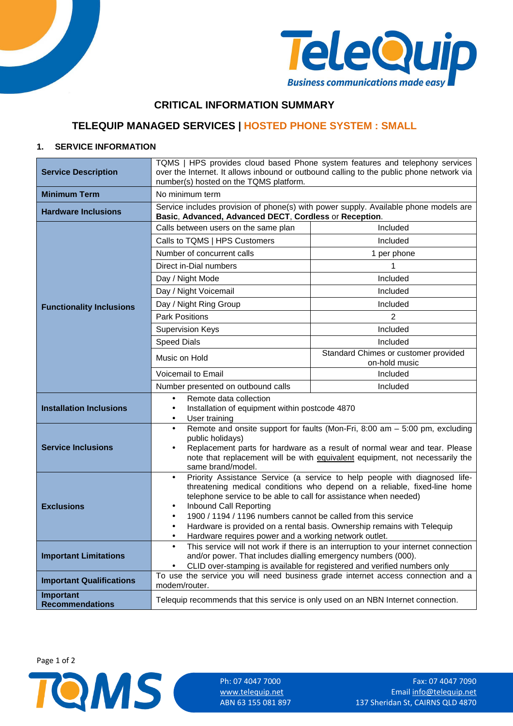



## **CRITICAL INFORMATION SUMMARY**

# **TELEQUIP MANAGED SERVICES | HOSTED PHONE SYSTEM : SMALL**

## **1. SERVICE INFORMATION**

| <b>Service Description</b>                 | TQMS   HPS provides cloud based Phone system features and telephony services<br>over the Internet. It allows inbound or outbound calling to the public phone network via<br>number(s) hosted on the TQMS platform.                                                                                                                                                                                                                                   |                                                       |  |
|--------------------------------------------|------------------------------------------------------------------------------------------------------------------------------------------------------------------------------------------------------------------------------------------------------------------------------------------------------------------------------------------------------------------------------------------------------------------------------------------------------|-------------------------------------------------------|--|
| <b>Minimum Term</b>                        | No minimum term                                                                                                                                                                                                                                                                                                                                                                                                                                      |                                                       |  |
| <b>Hardware Inclusions</b>                 | Service includes provision of phone(s) with power supply. Available phone models are<br>Basic, Advanced, Advanced DECT, Cordless or Reception.                                                                                                                                                                                                                                                                                                       |                                                       |  |
|                                            | Calls between users on the same plan                                                                                                                                                                                                                                                                                                                                                                                                                 | Included                                              |  |
|                                            | Calls to TQMS   HPS Customers                                                                                                                                                                                                                                                                                                                                                                                                                        | Included                                              |  |
|                                            | Number of concurrent calls                                                                                                                                                                                                                                                                                                                                                                                                                           | 1 per phone                                           |  |
|                                            | Direct in-Dial numbers                                                                                                                                                                                                                                                                                                                                                                                                                               | 1                                                     |  |
|                                            | Day / Night Mode                                                                                                                                                                                                                                                                                                                                                                                                                                     | Included                                              |  |
|                                            | Day / Night Voicemail                                                                                                                                                                                                                                                                                                                                                                                                                                | Included                                              |  |
| <b>Functionality Inclusions</b>            | Day / Night Ring Group                                                                                                                                                                                                                                                                                                                                                                                                                               | Included                                              |  |
|                                            | <b>Park Positions</b>                                                                                                                                                                                                                                                                                                                                                                                                                                | 2                                                     |  |
|                                            | <b>Supervision Keys</b>                                                                                                                                                                                                                                                                                                                                                                                                                              | Included                                              |  |
|                                            | <b>Speed Dials</b>                                                                                                                                                                                                                                                                                                                                                                                                                                   | Included                                              |  |
|                                            | Music on Hold                                                                                                                                                                                                                                                                                                                                                                                                                                        | Standard Chimes or customer provided<br>on-hold music |  |
|                                            | Voicemail to Email                                                                                                                                                                                                                                                                                                                                                                                                                                   | Included                                              |  |
|                                            | Number presented on outbound calls                                                                                                                                                                                                                                                                                                                                                                                                                   | Included                                              |  |
|                                            | Remote data collection<br>$\bullet$                                                                                                                                                                                                                                                                                                                                                                                                                  |                                                       |  |
| <b>Installation Inclusions</b>             | Installation of equipment within postcode 4870<br>$\bullet$<br>User training<br>$\bullet$                                                                                                                                                                                                                                                                                                                                                            |                                                       |  |
| <b>Service Inclusions</b>                  | Remote and onsite support for faults (Mon-Fri, 8:00 am - 5:00 pm, excluding<br>public holidays)<br>Replacement parts for hardware as a result of normal wear and tear. Please<br>$\bullet$<br>note that replacement will be with equivalent equipment, not necessarily the<br>same brand/model.                                                                                                                                                      |                                                       |  |
| <b>Exclusions</b>                          | Priority Assistance Service (a service to help people with diagnosed life-<br>$\bullet$<br>threatening medical conditions who depend on a reliable, fixed-line home<br>telephone service to be able to call for assistance when needed)<br>Inbound Call Reporting<br>$\bullet$<br>1900 / 1194 / 1196 numbers cannot be called from this service<br>$\bullet$<br>Hardware is provided on a rental basis. Ownership remains with Telequip<br>$\bullet$ |                                                       |  |
|                                            | Hardware requires power and a working network outlet.<br>$\bullet$                                                                                                                                                                                                                                                                                                                                                                                   |                                                       |  |
| <b>Important Limitations</b>               | This service will not work if there is an interruption to your internet connection<br>$\bullet$<br>and/or power. That includes dialling emergency numbers (000).<br>CLID over-stamping is available for registered and verified numbers only                                                                                                                                                                                                         |                                                       |  |
| <b>Important Qualifications</b>            | To use the service you will need business grade internet access connection and a<br>modem/router.                                                                                                                                                                                                                                                                                                                                                    |                                                       |  |
| <b>Important</b><br><b>Recommendations</b> | Telequip recommends that this service is only used on an NBN Internet connection.                                                                                                                                                                                                                                                                                                                                                                    |                                                       |  |

Page 1 of 2